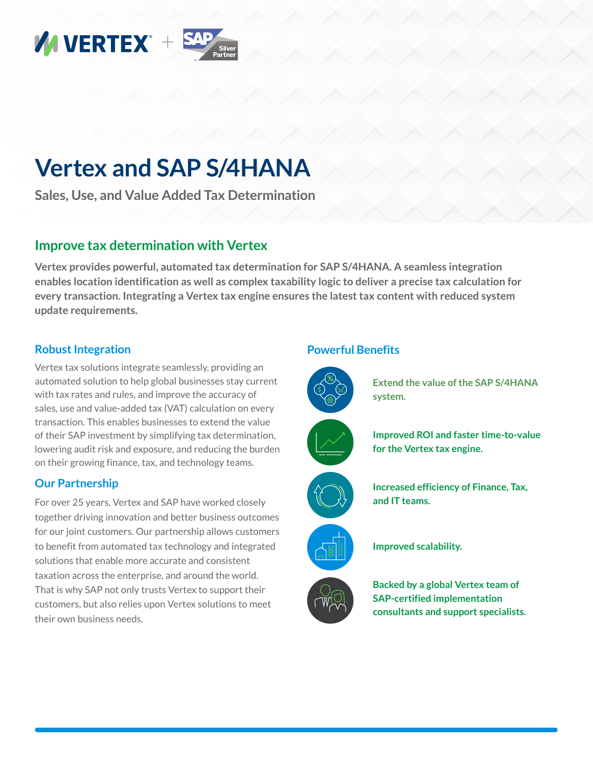

# **Vertex and SAP S/4HANA**

**Sales, Use, and Value Added Tax Determination**

## **Improve tax determination with Vertex**

**Vertex provides powerful, automated tax determination for SAP S/4HANA. A seamless integration enables location identification as well as complex taxability logic to deliver a precise tax calculation for every transaction. Integrating a Vertex tax engine ensures the latest tax content with reduced system update requirements.**

### **Robust Integration**

Vertex tax solutions integrate seamlessly, providing an automated solution to help global businesses stay current with tax rates and rules, and improve the accuracy of sales, use and value-added tax (VAT) calculation on every transaction. This enables businesses to extend the value of their SAP investment by simplifying tax determination, lowering audit risk and exposure, and reducing the burden on their growing finance, tax, and technology teams.

#### **Our Partnership**

For over 25 years, Vertex and SAP have worked closely together driving innovation and better business outcomes for our joint customers. Our partnership allows customers to benefit from automated tax technology and integrated solutions that enable more accurate and consistent taxation across the enterprise, and around the world. That is why SAP not only trusts Vertex to support their customers, but also relies upon Vertex solutions to meet their own business needs.

#### **Powerful Benefits**



**Extend the value of the SAP S/4HANA system.**











**Improved scalability.**

**Backed by a global Vertex team of SAP-certified implementation consultants and support specialists.**